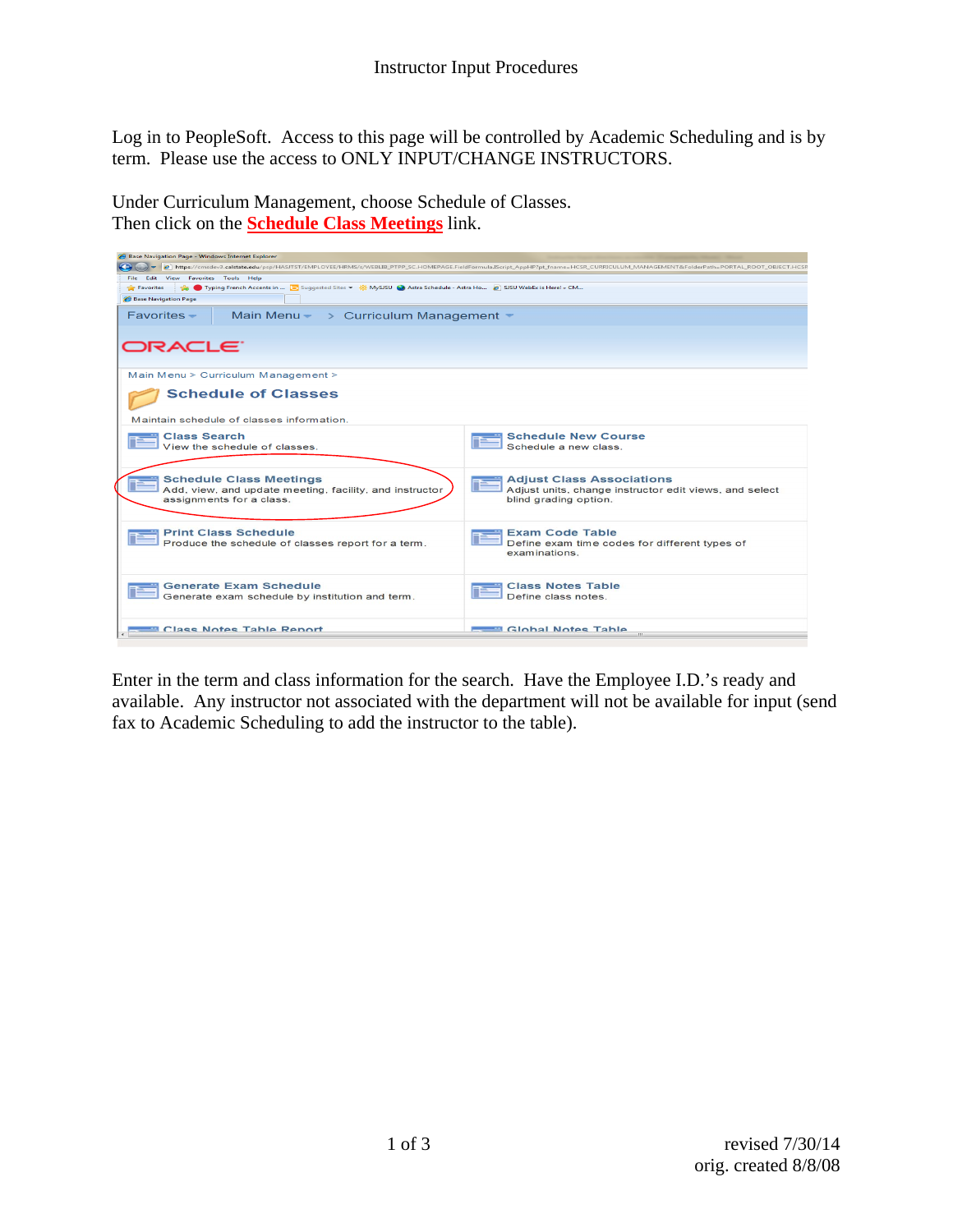Log in to PeopleSoft. Access to this page will be controlled by Academic Scheduling and is by term. Please use the access to ONLY INPUT/CHANGE INSTRUCTORS.

Under Curriculum Management, choose Schedule of Classes. Then click on the **Schedule Class Meetings** link.



Enter in the term and class information for the search. Have the Employee I.D.'s ready and available. Any instructor not associated with the department will not be available for input (send fax to Academic Scheduling to add the instructor to the table).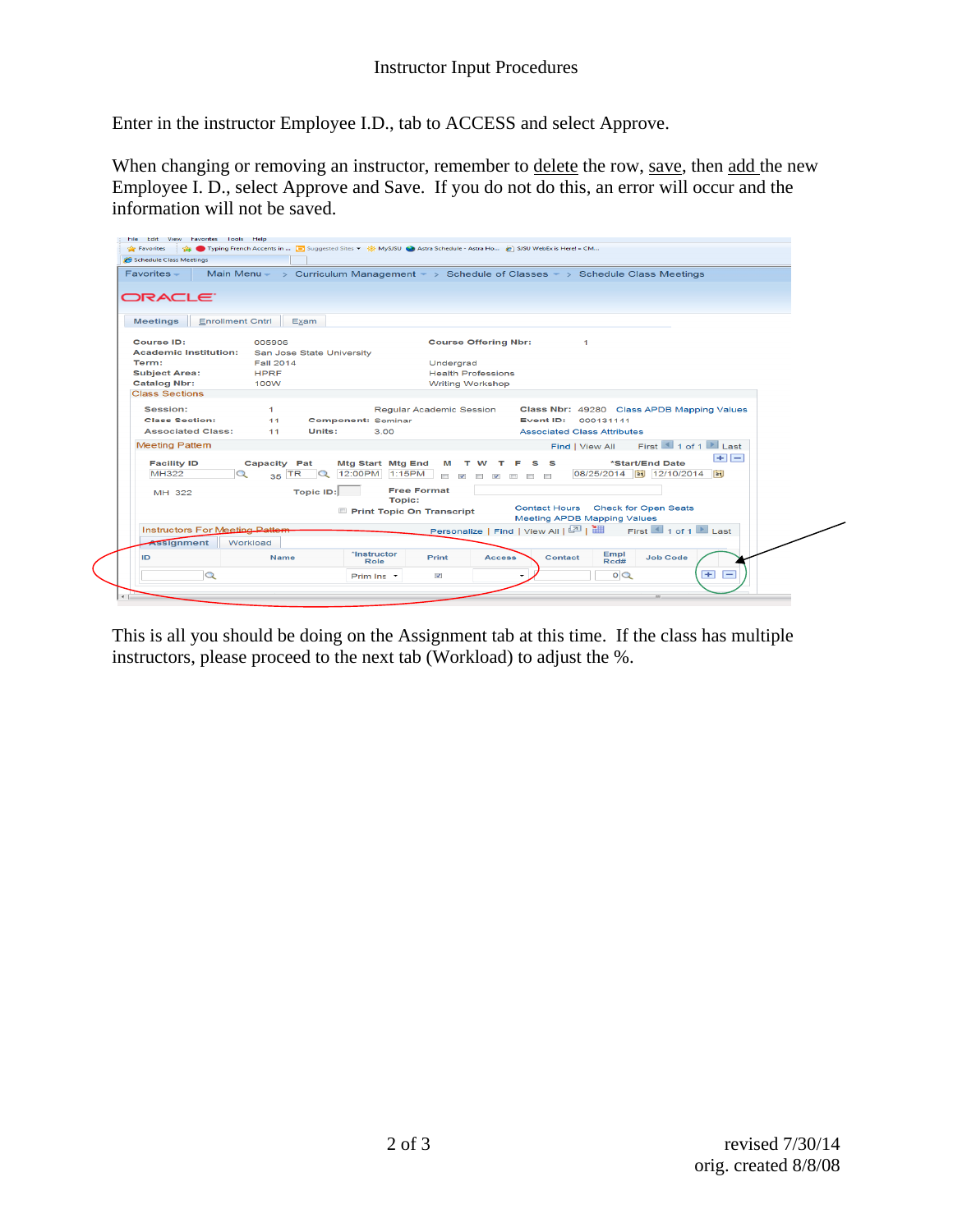Enter in the instructor Employee I.D., tab to ACCESS and select Approve.

When changing or removing an instructor, remember to delete the row, save, then add the new Employee I. D., select Approve and Save. If you do not do this, an error will occur and the information will not be saved.

| Schedule Class Meetings                      |                           |                                     |                                                              |                                                                                         |                                 |
|----------------------------------------------|---------------------------|-------------------------------------|--------------------------------------------------------------|-----------------------------------------------------------------------------------------|---------------------------------|
| $Favorites -$                                |                           |                                     |                                                              | Main Menu - > Curriculum Management - > Schedule of Classes - > Schedule Class Meetings |                                 |
|                                              |                           |                                     |                                                              |                                                                                         |                                 |
| ORACLE <sup>.</sup>                          |                           |                                     |                                                              |                                                                                         |                                 |
|                                              |                           |                                     |                                                              |                                                                                         |                                 |
| <b>Enrollment Cntrl</b><br><b>Meetings</b>   | Exam                      |                                     |                                                              |                                                                                         |                                 |
| <b>Course ID:</b>                            | 005906                    |                                     | <b>Course Offering Nbr:</b>                                  | $\blacktriangleleft$                                                                    |                                 |
| <b>Academic Institution:</b>                 | San Jose State University |                                     |                                                              |                                                                                         |                                 |
| Term:                                        | <b>Fall 2014</b>          | Undergrad                           |                                                              |                                                                                         |                                 |
| <b>Subject Area:</b>                         | <b>HPRF</b>               |                                     | <b>Health Professions</b>                                    |                                                                                         |                                 |
| <b>Catalog Nbr:</b><br><b>Class Sections</b> | 100W                      |                                     | <b>Writing Workshop</b>                                      |                                                                                         |                                 |
|                                              |                           |                                     |                                                              |                                                                                         |                                 |
| Session:                                     | $\mathbf{1}$              | Regular Academic Session            |                                                              | Class Nbr: 49280 Class APDB Mapping Values                                              |                                 |
| <b>Class Section:</b>                        | 11                        | <b>Component: Seminar</b>           |                                                              | Event ID: 000131141                                                                     |                                 |
| <b>Associated Class:</b>                     | Units:<br>11              | 3.00                                |                                                              | <b>Associated Class Attributes</b>                                                      |                                 |
| <b>Meeting Pattern</b>                       |                           |                                     |                                                              | Find   View All                                                                         | First $\Box$ 1 of 1 $\Box$ Last |
| <b>Facility ID</b>                           | <b>Capacity Pat</b>       | <b>Mtg Start Mtg End</b><br>M       | s<br><b>S</b><br>w<br>F<br>т.                                | *Start/End Date                                                                         | $+$ $-$                         |
| MH322                                        | $35$ TR $\sqrt{Q}$        | 12:00PM 1:15PM                      | $\overline{\mathbf{v}}$<br>$\overline{\mathbf{v}}$<br>$\Box$ | 08/25/2014 31 12/10/2014 31                                                             |                                 |
|                                              |                           | <b>Free Format</b>                  |                                                              |                                                                                         |                                 |
| MH 322                                       | Topic ID:                 | <b>Topic:</b>                       |                                                              |                                                                                         |                                 |
|                                              |                           | Print Topic On Transcript           |                                                              | Contact Hours Check for Open Seats                                                      |                                 |
|                                              |                           |                                     |                                                              | <b>Meeting APDB Mapping Values</b>                                                      |                                 |
| <b>Instructors For Meeting Pattern</b>       |                           |                                     |                                                              |                                                                                         |                                 |
| Assignment                                   | Workload                  | *Instructor                         |                                                              |                                                                                         |                                 |
| ID                                           | <b>Name</b>               | Print<br>Role                       | <b>Access</b>                                                | Empl<br>Rcd#<br><b>Job Code</b><br>Contact                                              |                                 |
|                                              |                           | $\overline{\mathbf{v}}$<br>Prim Ins |                                                              | $\circ$                                                                                 | $+$<br>$\overline{\phantom{0}}$ |

This is all you should be doing on the Assignment tab at this time. If the class has multiple instructors, please proceed to the next tab (Workload) to adjust the %.